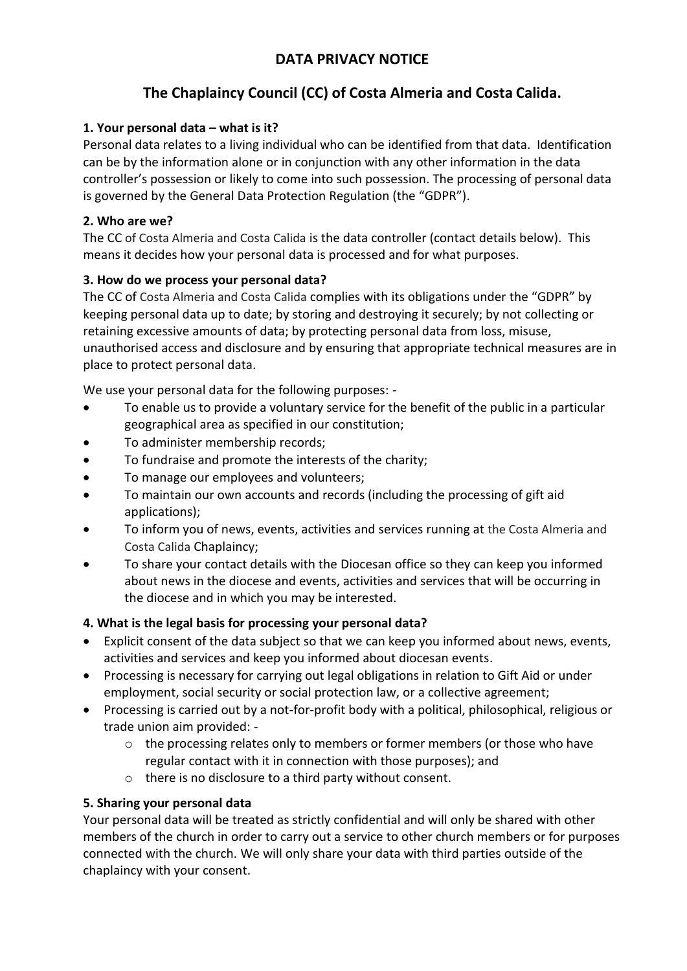## **DATA PRIVACY NOTICE**

# **The Chaplaincy Council (CC) of Costa Almeria and Costa Calida.**

## **1. Your personal data – what is it?**

Personal data relates to a living individual who can be identified from that data. Identification can be by the information alone or in conjunction with any other information in the data controller's possession or likely to come into such possession. The processing of personal data is governed by the General Data Protection Regulation (the "GDPR").

## **2. Who are we?**

The CC of Costa Almeria and Costa Calida is the data controller (contact details below). This means it decides how your personal data is processed and for what purposes.

## **3. How do we process your personal data?**

The CC of Costa Almeria and Costa Calida complies with its obligations under the "GDPR" by keeping personal data up to date; by storing and destroying it securely; by not collecting or retaining excessive amounts of data; by protecting personal data from loss, misuse, unauthorised access and disclosure and by ensuring that appropriate technical measures are in place to protect personal data.

We use your personal data for the following purposes: -

- To enable us to provide a voluntary service for the benefit of the public in a particular geographical area as specified in our constitution;
- To administer membership records;
- To fundraise and promote the interests of the charity;
- To manage our employees and volunteers;
- To maintain our own accounts and records (including the processing of gift aid applications);
- To inform you of news, events, activities and services running at the Costa Almeria and Costa Calida Chaplaincy;
- To share your contact details with the Diocesan office so they can keep you informed about news in the diocese and events, activities and services that will be occurring in the diocese and in which you may be interested.

#### **4. What is the legal basis for processing your personal data?**

- Explicit consent of the data subject so that we can keep you informed about news, events, activities and services and keep you informed about diocesan events.
- Processing is necessary for carrying out legal obligations in relation to Gift Aid or under employment, social security or social protection law, or a collective agreement;
- Processing is carried out by a not-for-profit body with a political, philosophical, religious or trade union aim provided: -
	- $\circ$  the processing relates only to members or former members (or those who have regular contact with it in connection with those purposes); and
	- o there is no disclosure to a third party without consent.

## **5. Sharing your personal data**

Your personal data will be treated as strictly confidential and will only be shared with other members of the church in order to carry out a service to other church members or for purposes connected with the church. We will only share your data with third parties outside of the chaplaincy with your consent.